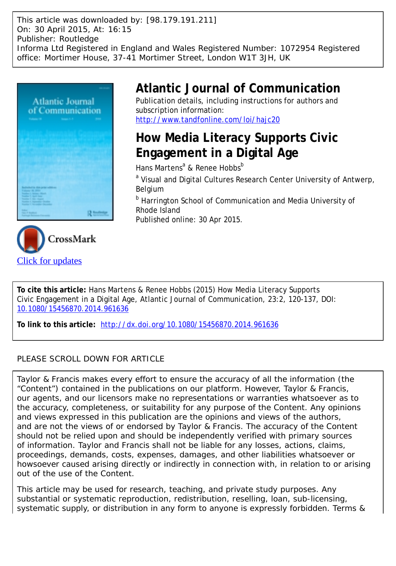This article was downloaded by: [98.179.191.211] On: 30 April 2015, At: 16:15 Publisher: Routledge Informa Ltd Registered in England and Wales Registered Number: 1072954 Registered office: Mortimer House, 37-41 Mortimer Street, London W1T 3JH, UK



# **Atlantic Journal of Communication**

Publication details, including instructions for authors and subscription information: <http://www.tandfonline.com/loi/hajc20>

# **How Media Literacy Supports Civic Engagement in a Digital Age**

Hans Martens<sup>a</sup> & Renee Hobbs<sup>b</sup>

<sup>a</sup> Visual and Digital Cultures Research Center University of Antwerp, Belgium

**b** Harrington School of Communication and Media University of Rhode Island

Published online: 30 Apr 2015.



**To cite this article:** Hans Martens & Renee Hobbs (2015) How Media Literacy Supports Civic Engagement in a Digital Age, Atlantic Journal of Communication, 23:2, 120-137, DOI: [10.1080/15456870.2014.961636](http://www.tandfonline.com/action/showCitFormats?doi=10.1080/15456870.2014.961636)

**To link to this article:** <http://dx.doi.org/10.1080/15456870.2014.961636>

# PLEASE SCROLL DOWN FOR ARTICLE

Taylor & Francis makes every effort to ensure the accuracy of all the information (the "Content") contained in the publications on our platform. However, Taylor & Francis, our agents, and our licensors make no representations or warranties whatsoever as to the accuracy, completeness, or suitability for any purpose of the Content. Any opinions and views expressed in this publication are the opinions and views of the authors, and are not the views of or endorsed by Taylor & Francis. The accuracy of the Content should not be relied upon and should be independently verified with primary sources of information. Taylor and Francis shall not be liable for any losses, actions, claims, proceedings, demands, costs, expenses, damages, and other liabilities whatsoever or howsoever caused arising directly or indirectly in connection with, in relation to or arising out of the use of the Content.

This article may be used for research, teaching, and private study purposes. Any substantial or systematic reproduction, redistribution, reselling, loan, sub-licensing, systematic supply, or distribution in any form to anyone is expressly forbidden. Terms &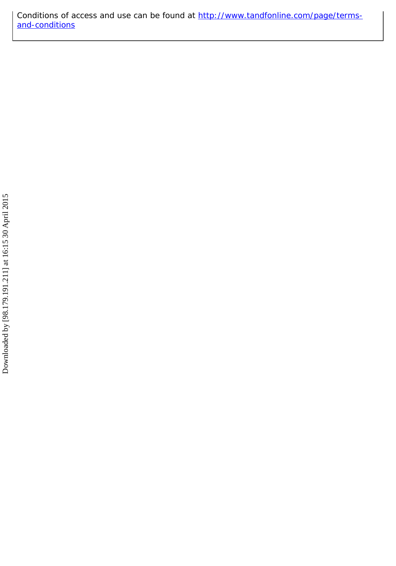Conditions of access and use can be found at [http://www.tandfonline.com/page/terms](http://www.tandfonline.com/page/terms-and-conditions)[and-conditions](http://www.tandfonline.com/page/terms-and-conditions)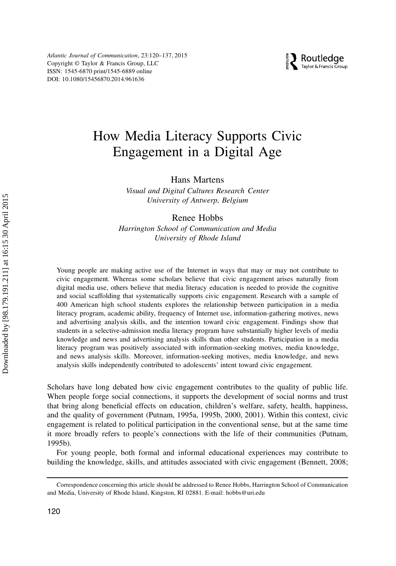

# How Media Literacy Supports Civic Engagement in a Digital Age

Hans Martens

Visual and Digital Cultures Research Center University of Antwerp, Belgium

# Renee Hobbs

Harrington School of Communication and Media University of Rhode Island

Young people are making active use of the Internet in ways that may or may not contribute to civic engagement. Whereas some scholars believe that civic engagement arises naturally from digital media use, others believe that media literacy education is needed to provide the cognitive and social scaffolding that systematically supports civic engagement. Research with a sample of 400 American high school students explores the relationship between participation in a media literacy program, academic ability, frequency of Internet use, information-gathering motives, news and advertising analysis skills, and the intention toward civic engagement. Findings show that students in a selective-admission media literacy program have substantially higher levels of media knowledge and news and advertising analysis skills than other students. Participation in a media literacy program was positively associated with information-seeking motives, media knowledge, and news analysis skills. Moreover, information-seeking motives, media knowledge, and news analysis skills independently contributed to adolescents' intent toward civic engagement.

Scholars have long debated how civic engagement contributes to the quality of public life. When people forge social connections, it supports the development of social norms and trust that bring along beneficial effects on education, children's welfare, safety, health, happiness, and the quality of government (Putnam, 1995a, 1995b, 2000, 2001). Within this context, civic engagement is related to political participation in the conventional sense, but at the same time it more broadly refers to people's connections with the life of their communities (Putnam, 1995b).

For young people, both formal and informal educational experiences may contribute to building the knowledge, skills, and attitudes associated with civic engagement (Bennett, 2008;

Correspondence concerning this article should be addressed to Renee Hobbs, Harrington School of Communication and Media, University of Rhode Island, Kingston, RI 02881. E-mail: hobbs@uri.edu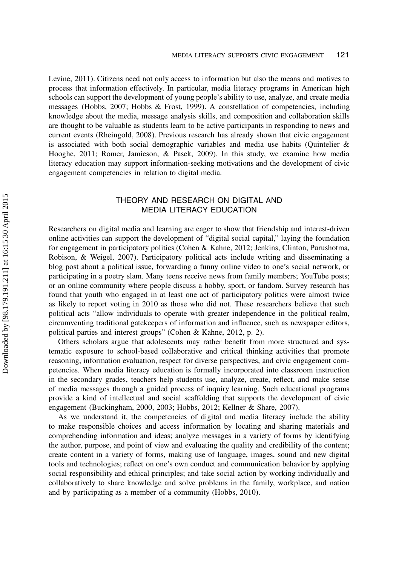Levine, 2011). Citizens need not only access to information but also the means and motives to process that information effectively. In particular, media literacy programs in American high schools can support the development of young people's ability to use, analyze, and create media messages (Hobbs, 2007; Hobbs & Frost, 1999). A constellation of competencies, including knowledge about the media, message analysis skills, and composition and collaboration skills are thought to be valuable as students learn to be active participants in responding to news and current events (Rheingold, 2008). Previous research has already shown that civic engagement is associated with both social demographic variables and media use habits (Quintelier  $\&$ Hooghe, 2011; Romer, Jamieson, & Pasek, 2009). In this study, we examine how media literacy education may support information-seeking motivations and the development of civic engagement competencies in relation to digital media.

# THEORY AND RESEARCH ON DIGITAL AND MEDIA LITERACY EDUCATION

Researchers on digital media and learning are eager to show that friendship and interest-driven online activities can support the development of "digital social capital," laying the foundation for engagement in participatory politics (Cohen & Kahne, 2012; Jenkins, Clinton, Purushotma, Robison, & Weigel, 2007). Participatory political acts include writing and disseminating a blog post about a political issue, forwarding a funny online video to one's social network, or participating in a poetry slam. Many teens receive news from family members; YouTube posts; or an online community where people discuss a hobby, sport, or fandom. Survey research has found that youth who engaged in at least one act of participatory politics were almost twice as likely to report voting in 2010 as those who did not. These researchers believe that such political acts "allow individuals to operate with greater independence in the political realm, circumventing traditional gatekeepers of information and influence, such as newspaper editors, political parties and interest groups" (Cohen & Kahne, 2012, p. 2).

Others scholars argue that adolescents may rather benefit from more structured and systematic exposure to school-based collaborative and critical thinking activities that promote reasoning, information evaluation, respect for diverse perspectives, and civic engagement competencies. When media literacy education is formally incorporated into classroom instruction in the secondary grades, teachers help students use, analyze, create, reflect, and make sense of media messages through a guided process of inquiry learning. Such educational programs provide a kind of intellectual and social scaffolding that supports the development of civic engagement (Buckingham, 2000, 2003; Hobbs, 2012; Kellner & Share, 2007).

As we understand it, the competencies of digital and media literacy include the ability to make responsible choices and access information by locating and sharing materials and comprehending information and ideas; analyze messages in a variety of forms by identifying the author, purpose, and point of view and evaluating the quality and credibility of the content; create content in a variety of forms, making use of language, images, sound and new digital tools and technologies; reflect on one's own conduct and communication behavior by applying social responsibility and ethical principles; and take social action by working individually and collaboratively to share knowledge and solve problems in the family, workplace, and nation and by participating as a member of a community (Hobbs, 2010).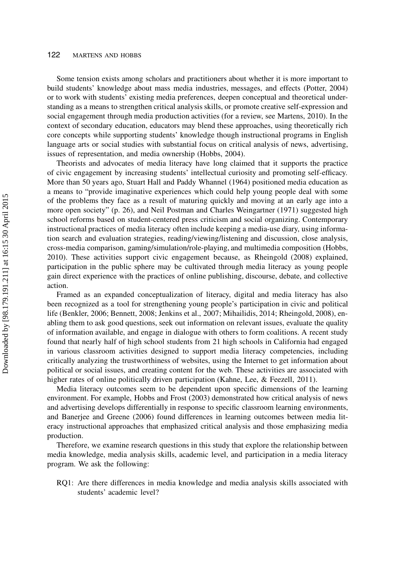#### 122 MARTENS AND HOBBS

Some tension exists among scholars and practitioners about whether it is more important to build students' knowledge about mass media industries, messages, and effects (Potter, 2004) or to work with students' existing media preferences, deepen conceptual and theoretical understanding as a means to strengthen critical analysis skills, or promote creative self-expression and social engagement through media production activities (for a review, see Martens, 2010). In the context of secondary education, educators may blend these approaches, using theoretically rich core concepts while supporting students' knowledge though instructional programs in English language arts or social studies with substantial focus on critical analysis of news, advertising, issues of representation, and media ownership (Hobbs, 2004).

Theorists and advocates of media literacy have long claimed that it supports the practice of civic engagement by increasing students' intellectual curiosity and promoting self-efficacy. More than 50 years ago, Stuart Hall and Paddy Whannel (1964) positioned media education as a means to "provide imaginative experiences which could help young people deal with some of the problems they face as a result of maturing quickly and moving at an early age into a more open society" (p. 26), and Neil Postman and Charles Weingartner (1971) suggested high school reforms based on student-centered press criticism and social organizing. Contemporary instructional practices of media literacy often include keeping a media-use diary, using information search and evaluation strategies, reading/viewing/listening and discussion, close analysis, cross-media comparison, gaming/simulation/role-playing, and multimedia composition (Hobbs, 2010). These activities support civic engagement because, as Rheingold (2008) explained, participation in the public sphere may be cultivated through media literacy as young people gain direct experience with the practices of online publishing, discourse, debate, and collective action.

Framed as an expanded conceptualization of literacy, digital and media literacy has also been recognized as a tool for strengthening young people's participation in civic and political life (Benkler, 2006; Bennett, 2008; Jenkins et al., 2007; Mihailidis, 2014; Rheingold, 2008), enabling them to ask good questions, seek out information on relevant issues, evaluate the quality of information available, and engage in dialogue with others to form coalitions. A recent study found that nearly half of high school students from 21 high schools in California had engaged in various classroom activities designed to support media literacy competencies, including critically analyzing the trustworthiness of websites, using the Internet to get information about political or social issues, and creating content for the web. These activities are associated with higher rates of online politically driven participation (Kahne, Lee, & Feezell, 2011).

Media literacy outcomes seem to be dependent upon specific dimensions of the learning environment. For example, Hobbs and Frost (2003) demonstrated how critical analysis of news and advertising develops differentially in response to specific classroom learning environments, and Banerjee and Greene (2006) found differences in learning outcomes between media literacy instructional approaches that emphasized critical analysis and those emphasizing media production.

Therefore, we examine research questions in this study that explore the relationship between media knowledge, media analysis skills, academic level, and participation in a media literacy program. We ask the following:

RQ1: Are there differences in media knowledge and media analysis skills associated with students' academic level?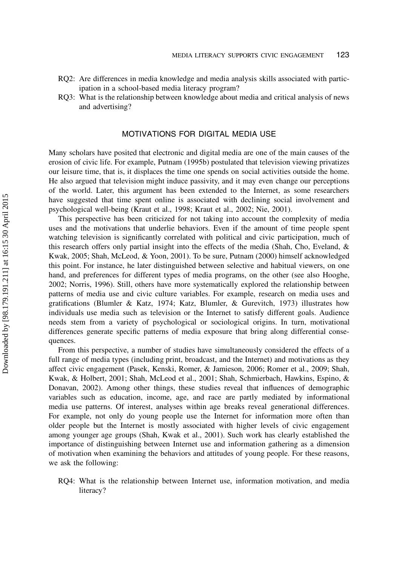- RQ2: Are differences in media knowledge and media analysis skills associated with participation in a school-based media literacy program?
- RQ3: What is the relationship between knowledge about media and critical analysis of news and advertising?

### MOTIVATIONS FOR DIGITAL MEDIA USE

Many scholars have posited that electronic and digital media are one of the main causes of the erosion of civic life. For example, Putnam (1995b) postulated that television viewing privatizes our leisure time, that is, it displaces the time one spends on social activities outside the home. He also argued that television might induce passivity, and it may even change our perceptions of the world. Later, this argument has been extended to the Internet, as some researchers have suggested that time spent online is associated with declining social involvement and psychological well-being (Kraut et al., 1998; Kraut et al., 2002; Nie, 2001).

This perspective has been criticized for not taking into account the complexity of media uses and the motivations that underlie behaviors. Even if the amount of time people spent watching television is significantly correlated with political and civic participation, much of this research offers only partial insight into the effects of the media (Shah, Cho, Eveland, & Kwak, 2005; Shah, McLeod, & Yoon, 2001). To be sure, Putnam (2000) himself acknowledged this point. For instance, he later distinguished between selective and habitual viewers, on one hand, and preferences for different types of media programs, on the other (see also Hooghe, 2002; Norris, 1996). Still, others have more systematically explored the relationship between patterns of media use and civic culture variables. For example, research on media uses and gratifications (Blumler & Katz, 1974; Katz, Blumler, & Gurevitch, 1973) illustrates how individuals use media such as television or the Internet to satisfy different goals. Audience needs stem from a variety of psychological or sociological origins. In turn, motivational differences generate specific patterns of media exposure that bring along differential consequences.

From this perspective, a number of studies have simultaneously considered the effects of a full range of media types (including print, broadcast, and the Internet) and motivations as they affect civic engagement (Pasek, Kenski, Romer, & Jamieson, 2006; Romer et al., 2009; Shah, Kwak, & Holbert, 2001; Shah, McLeod et al., 2001; Shah, Schmierbach, Hawkins, Espino, & Donavan, 2002). Among other things, these studies reveal that influences of demographic variables such as education, income, age, and race are partly mediated by informational media use patterns. Of interest, analyses within age breaks reveal generational differences. For example, not only do young people use the Internet for information more often than older people but the Internet is mostly associated with higher levels of civic engagement among younger age groups (Shah, Kwak et al., 2001). Such work has clearly established the importance of distinguishing between Internet use and information gathering as a dimension of motivation when examining the behaviors and attitudes of young people. For these reasons, we ask the following:

RQ4: What is the relationship between Internet use, information motivation, and media literacy?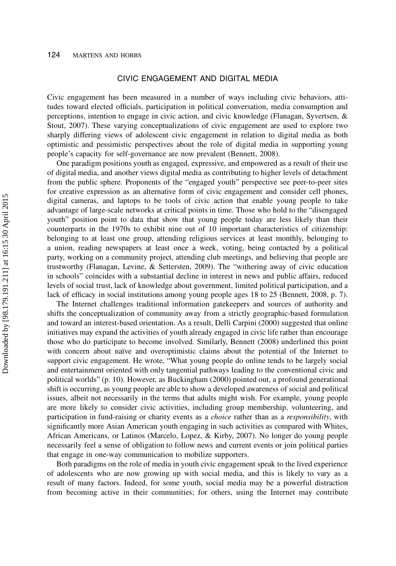# CIVIC ENGAGEMENT AND DIGITAL MEDIA

Civic engagement has been measured in a number of ways including civic behaviors, attitudes toward elected officials, participation in political conversation, media consumption and perceptions, intention to engage in civic action, and civic knowledge (Flanagan, Syvertsen, & Stout, 2007). These varying conceptualizations of civic engagement are used to explore two sharply differing views of adolescent civic engagement in relation to digital media as both optimistic and pessimistic perspectives about the role of digital media in supporting young people's capacity for self-governance are now prevalent (Bennett, 2008).

One paradigm positions youth as engaged, expressive, and empowered as a result of their use of digital media, and another views digital media as contributing to higher levels of detachment from the public sphere. Proponents of the "engaged youth" perspective see peer-to-peer sites for creative expression as an alternative form of civic engagement and consider cell phones, digital cameras, and laptops to be tools of civic action that enable young people to take advantage of large-scale networks at critical points in time. Those who hold to the "disengaged youth" position point to data that show that young people today are less likely than their counterparts in the 1970s to exhibit nine out of 10 important characteristics of citizenship: belonging to at least one group, attending religious services at least monthly, belonging to a union, reading newspapers at least once a week, voting, being contacted by a political party, working on a community project, attending club meetings, and believing that people are trustworthy (Flanagan, Levine, & Settersten, 2009). The "withering away of civic education in schools" coincides with a substantial decline in interest in news and public affairs, reduced levels of social trust, lack of knowledge about government, limited political participation, and a lack of efficacy in social institutions among young people ages 18 to 25 (Bennett, 2008, p. 7).

The Internet challenges traditional information gatekeepers and sources of authority and shifts the conceptualization of community away from a strictly geographic-based formulation and toward an interest-based orientation. As a result, Delli Carpini (2000) suggested that online initiatives may expand the activities of youth already engaged in civic life rather than encourage those who do participate to become involved. Similarly, Bennett (2008) underlined this point with concern about naïve and overoptimistic claims about the potential of the Internet to support civic engagement. He wrote, "What young people do online tends to be largely social and entertainment oriented with only tangential pathways leading to the conventional civic and political worlds" (p. 10). However, as Buckingham (2000) pointed out, a profound generational shift is occurring, as young people are able to show a developed awareness of social and political issues, albeit not necessarily in the terms that adults might wish. For example, young people are more likely to consider civic activities, including group membership, volunteering, and participation in fund-raising or charity events as a *choice* rather than as a *responsibility*, with significantly more Asian American youth engaging in such activities as compared with Whites, African Americans, or Latinos (Marcelo, Lopez, & Kirby, 2007). No longer do young people necessarily feel a sense of obligation to follow news and current events or join political parties that engage in one-way communication to mobilize supporters.

Both paradigms on the role of media in youth civic engagement speak to the lived experience of adolescents who are now growing up with social media, and this is likely to vary as a result of many factors. Indeed, for some youth, social media may be a powerful distraction from becoming active in their communities; for others, using the Internet may contribute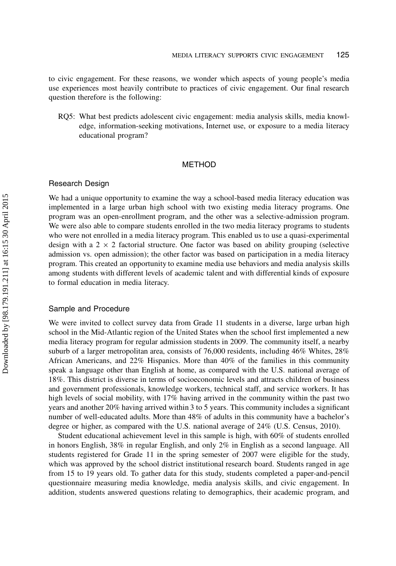to civic engagement. For these reasons, we wonder which aspects of young people's media use experiences most heavily contribute to practices of civic engagement. Our final research question therefore is the following:

RQ5: What best predicts adolescent civic engagement: media analysis skills, media knowledge, information-seeking motivations, Internet use, or exposure to a media literacy educational program?

#### METHOD

### Research Design

We had a unique opportunity to examine the way a school-based media literacy education was implemented in a large urban high school with two existing media literacy programs. One program was an open-enrollment program, and the other was a selective-admission program. We were also able to compare students enrolled in the two media literacy programs to students who were not enrolled in a media literacy program. This enabled us to use a quasi-experimental design with a  $2 \times 2$  factorial structure. One factor was based on ability grouping (selective admission vs. open admission); the other factor was based on participation in a media literacy program. This created an opportunity to examine media use behaviors and media analysis skills among students with different levels of academic talent and with differential kinds of exposure to formal education in media literacy.

#### Sample and Procedure

We were invited to collect survey data from Grade 11 students in a diverse, large urban high school in the Mid-Atlantic region of the United States when the school first implemented a new media literacy program for regular admission students in 2009. The community itself, a nearby suburb of a larger metropolitan area, consists of 76,000 residents, including 46% Whites, 28% African Americans, and 22% Hispanics. More than 40% of the families in this community speak a language other than English at home, as compared with the U.S. national average of 18%. This district is diverse in terms of socioeconomic levels and attracts children of business and government professionals, knowledge workers, technical staff, and service workers. It has high levels of social mobility, with 17% having arrived in the community within the past two years and another 20% having arrived within 3 to 5 years. This community includes a significant number of well-educated adults. More than 48% of adults in this community have a bachelor's degree or higher, as compared with the U.S. national average of 24% (U.S. Census, 2010).

Student educational achievement level in this sample is high, with 60% of students enrolled in honors English, 38% in regular English, and only 2% in English as a second language. All students registered for Grade 11 in the spring semester of 2007 were eligible for the study, which was approved by the school district institutional research board. Students ranged in age from 15 to 19 years old. To gather data for this study, students completed a paper-and-pencil questionnaire measuring media knowledge, media analysis skills, and civic engagement. In addition, students answered questions relating to demographics, their academic program, and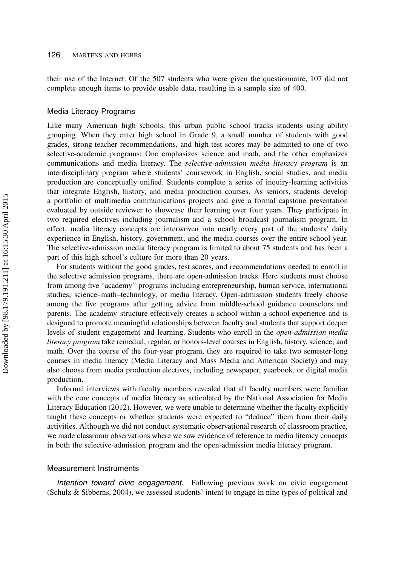their use of the Internet. Of the 507 students who were given the questionnaire, 107 did not complete enough items to provide usable data, resulting in a sample size of 400.

#### Media Literacy Programs

Like many American high schools, this urban public school tracks students using ability grouping. When they enter high school in Grade 9, a small number of students with good grades, strong teacher recommendations, and high test scores may be admitted to one of two selective-academic programs: One emphasizes science and math, and the other emphasizes communications and media literacy. The *selective-admission media literacy program* is an interdisciplinary program where students' coursework in English, social studies, and media production are conceptually unified. Students complete a series of inquiry-learning activities that integrate English, history, and media production courses. As seniors, students develop a portfolio of multimedia communications projects and give a formal capstone presentation evaluated by outside reviewer to showcase their learning over four years. They participate in two required electives including journalism and a school broadcast journalism program. In effect, media literacy concepts are interwoven into nearly every part of the students' daily experience in English, history, government, and the media courses over the entire school year. The selective-admission media literacy program is limited to about 75 students and has been a part of this high school's culture for more than 20 years.

For students without the good grades, test scores, and recommendations needed to enroll in the selective admission programs, there are open-admission tracks. Here students must choose from among five "academy" programs including entrepreneurship, human service, international studies, science–math–technology, or media literacy. Open-admission students freely choose among the five programs after getting advice from middle-school guidance counselors and parents. The academy structure effectively creates a school-within-a-school experience and is designed to promote meaningful relationships between faculty and students that support deeper levels of student engagement and learning. Students who enroll in the open-admission media literacy program take remedial, regular, or honors-level courses in English, history, science, and math. Over the course of the four-year program, they are required to take two semester-long courses in media literacy (Media Literacy and Mass Media and American Society) and may also choose from media production electives, including newspaper, yearbook, or digital media production.

Informal interviews with faculty members revealed that all faculty members were familiar with the core concepts of media literacy as articulated by the National Association for Media Literacy Education (2012). However, we were unable to determine whether the faculty explicitly taught these concepts or whether students were expected to "deduce" them from their daily activities. Although we did not conduct systematic observational research of classroom practice, we made classroom observations where we saw evidence of reference to media literacy concepts in both the selective-admission program and the open-admission media literacy program.

#### Measurement Instruments

Intention toward civic engagement. Following previous work on civic engagement (Schulz & Sibberns, 2004), we assessed students' intent to engage in nine types of political and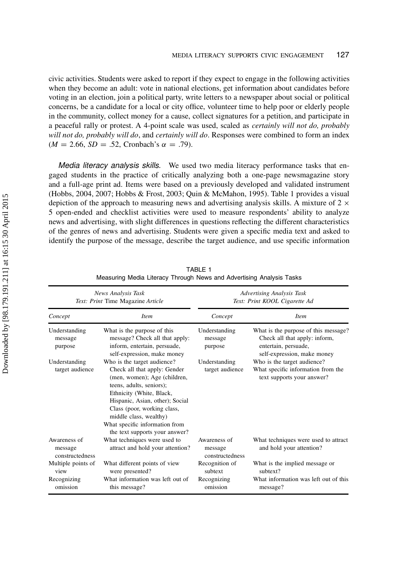civic activities. Students were asked to report if they expect to engage in the following activities when they become an adult: vote in national elections, get information about candidates before voting in an election, join a political party, write letters to a newspaper about social or political concerns, be a candidate for a local or city office, volunteer time to help poor or elderly people in the community, collect money for a cause, collect signatures for a petition, and participate in a peaceful rally or protest. A 4-point scale was used, scaled as certainly will not do, probably will not do, probably will do, and certainly will do. Responses were combined to form an index  $(M = 2.66, SD = .52, Cronbach's \alpha = .79).$ 

Media literacy analysis skills. We used two media literacy performance tasks that engaged students in the practice of critically analyzing both a one-page newsmagazine story and a full-age print ad. Items were based on a previously developed and validated instrument (Hobbs, 2004, 2007; Hobbs & Frost, 2003; Quin & McMahon, 1995). Table 1 provides a visual depiction of the approach to measuring news and advertising analysis skills. A mixture of  $2 \times$ 5 open-ended and checklist activities were used to measure respondents' ability to analyze news and advertising, with slight differences in questions reflecting the different characteristics of the genres of news and advertising. Students were given a specific media text and asked to identify the purpose of the message, describe the target audience, and use specific information

|                                            | News Analysis Task<br>Text: Print Time Magazine Article                                                                                                                                                                                                                                                             | <b>Advertising Analysis Task</b><br>Text: Print KOOL Cigarette Ad |                                                                                                                              |  |  |
|--------------------------------------------|---------------------------------------------------------------------------------------------------------------------------------------------------------------------------------------------------------------------------------------------------------------------------------------------------------------------|-------------------------------------------------------------------|------------------------------------------------------------------------------------------------------------------------------|--|--|
| Concept                                    | <i>Item</i>                                                                                                                                                                                                                                                                                                         | Concept                                                           | <i>Item</i>                                                                                                                  |  |  |
| Understanding<br>message<br>purpose        | What is the purpose of this<br>message? Check all that apply:<br>inform, entertain, persuade,<br>self-expression, make money                                                                                                                                                                                        | Understanding<br>message<br>purpose                               | What is the purpose of this message?<br>Check all that apply: inform,<br>entertain, persuade,<br>self-expression, make money |  |  |
| Understanding<br>target audience           | Who is the target audience?<br>Check all that apply: Gender<br>(men, women); Age (children,<br>teens, adults, seniors);<br>Ethnicity (White, Black,<br>Hispanic, Asian, other); Social<br>Class (poor, working class,<br>middle class, wealthy)<br>What specific information from<br>the text supports your answer? | Understanding<br>target audience                                  | Who is the target audience?<br>What specific information from the<br>text supports your answer?                              |  |  |
| Awareness of<br>message<br>constructedness | What techniques were used to<br>attract and hold your attention?                                                                                                                                                                                                                                                    | Awareness of<br>message<br>constructedness                        | What techniques were used to attract<br>and hold your attention?                                                             |  |  |
| Multiple points of<br>view                 | What different points of view<br>were presented?                                                                                                                                                                                                                                                                    | Recognition of<br>subtext                                         | What is the implied message or<br>subtext?                                                                                   |  |  |
| Recognizing<br>omission                    | What information was left out of<br>this message?                                                                                                                                                                                                                                                                   | Recognizing<br>omission                                           | What information was left out of this<br>message?                                                                            |  |  |

TABLE 1 Measuring Media Literacy Through News and Advertising Analysis Tasks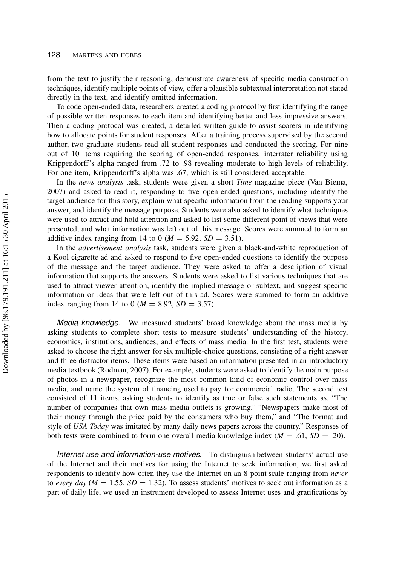from the text to justify their reasoning, demonstrate awareness of specific media construction techniques, identify multiple points of view, offer a plausible subtextual interpretation not stated directly in the text, and identify omitted information.

To code open-ended data, researchers created a coding protocol by first identifying the range of possible written responses to each item and identifying better and less impressive answers. Then a coding protocol was created, a detailed written guide to assist scorers in identifying how to allocate points for student responses. After a training process supervised by the second author, two graduate students read all student responses and conducted the scoring. For nine out of 10 items requiring the scoring of open-ended responses, interrater reliability using Krippendorff's alpha ranged from .72 to .98 revealing moderate to high levels of reliability. For one item, Krippendorff's alpha was .67, which is still considered acceptable.

In the news analysis task, students were given a short *Time* magazine piece (Van Biema, 2007) and asked to read it, responding to five open-ended questions, including identify the target audience for this story, explain what specific information from the reading supports your answer, and identify the message purpose. Students were also asked to identify what techniques were used to attract and hold attention and asked to list some different point of views that were presented, and what information was left out of this message. Scores were summed to form an additive index ranging from 14 to 0 ( $M = 5.92$ ,  $SD = 3.51$ ).

In the *advertisement analysis* task, students were given a black-and-white reproduction of a Kool cigarette ad and asked to respond to five open-ended questions to identify the purpose of the message and the target audience. They were asked to offer a description of visual information that supports the answers. Students were asked to list various techniques that are used to attract viewer attention, identify the implied message or subtext, and suggest specific information or ideas that were left out of this ad. Scores were summed to form an additive index ranging from 14 to 0 ( $M = 8.92$ ,  $SD = 3.57$ ).

Media knowledge. We measured students' broad knowledge about the mass media by asking students to complete short tests to measure students' understanding of the history, economics, institutions, audiences, and effects of mass media. In the first test, students were asked to choose the right answer for six multiple-choice questions, consisting of a right answer and three distractor items. These items were based on information presented in an introductory media textbook (Rodman, 2007). For example, students were asked to identify the main purpose of photos in a newspaper, recognize the most common kind of economic control over mass media, and name the system of financing used to pay for commercial radio. The second test consisted of 11 items, asking students to identify as true or false such statements as, "The number of companies that own mass media outlets is growing," "Newspapers make most of their money through the price paid by the consumers who buy them," and "The format and style of USA Today was imitated by many daily news papers across the country." Responses of both tests were combined to form one overall media knowledge index  $(M = .61, SD = .20)$ .

Internet use and information-use motives. To distinguish between students' actual use of the Internet and their motives for using the Internet to seek information, we first asked respondents to identify how often they use the Internet on an 8-point scale ranging from *never* to every day ( $M = 1.55$ ,  $SD = 1.32$ ). To assess students' motives to seek out information as a part of daily life, we used an instrument developed to assess Internet uses and gratifications by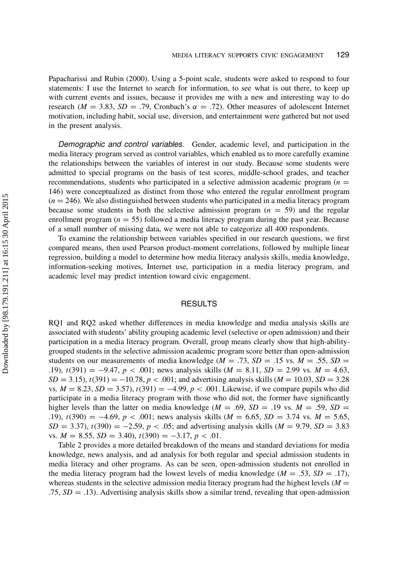Papacharissi and Rubin (2000). Using a 5-point scale, students were asked to respond to four statements: I use the Internet to search for information, to see what is out there, to keep up with current events and issues, because it provides me with a new and interesting way to do research ( $M = 3.83$ ,  $SD = .79$ , Cronbach's  $\alpha = .72$ ). Other measures of adolescent Internet motivation, including habit, social use, diversion, and entertainment were gathered but not used in the present analysis.

Demographic and control variables. Gender, academic level, and participation in the media literacy program served as control variables, which enabled us to more carefully examine the relationships between the variables of interest in our study. Because some students were admitted to special programs on the basis of test scores, middle-school grades, and teacher recommendations, students who participated in a selective admission academic program ( $n =$ 146) were conceptualized as distinct from those who entered the regular enrollment program  $(n = 246)$ . We also distinguished between students who participated in a media literacy program because some students in both the selective admission program  $(n = 59)$  and the regular enrollment program  $(n = 55)$  followed a media literacy program during the past year. Because of a small number of missing data, we were not able to categorize all 400 respondents.

To examine the relationship between variables specified in our research questions, we first compared means, then used Pearson product-moment correlations, followed by multiple linear regression, building a model to determine how media literacy analysis skills, media knowledge, information-seeking motives, Internet use, participation in a media literacy program, and academic level may predict intention toward civic engagement.

#### RESULTS

RQ1 and RQ2 asked whether differences in media knowledge and media analysis skills are associated with students' ability grouping academic level (selective or open admission) and their participation in a media literacy program. Overall, group means clearly show that high-abilitygrouped students in the selective admission academic program score better than open-admission students on our measurements of media knowledge ( $M = .73$ ,  $SD = .15$  vs.  $M = .55$ ,  $SD =$ .19),  $t(391) = -9.47$ ,  $p < .001$ ; news analysis skills ( $M = 8.11$ ,  $SD = 2.99$  vs.  $M = 4.63$ ,  $SD = 3.15$ ,  $t(391) = -10.78$ ,  $p < .001$ ; and advertising analysis skills ( $M = 10.03$ ,  $SD = 3.28$ vs.  $M = 8.23$ ,  $SD = 3.57$ ,  $t(391) = -4.99$ ,  $p < .001$ . Likewise, if we compare pupils who did participate in a media literacy program with those who did not, the former have significantly higher levels than the latter on media knowledge ( $M = .69$ ,  $SD = .19$  vs.  $M = .59$ ,  $SD =$ .19),  $t(390) = -4.69$ ,  $p < .001$ ; news analysis skills ( $M = 6.65$ ,  $SD = 3.74$  vs.  $M = 5.65$ ,  $SD = 3.37$ ,  $t(390) = -2.59$ ,  $p < .05$ ; and advertising analysis skills ( $M = 9.79$ ,  $SD = 3.83$ ) vs.  $M = 8.55$ ,  $SD = 3.40$ ,  $t(390) = -3.17$ ,  $p < .01$ .

Table 2 provides a more detailed breakdown of the means and standard deviations for media knowledge, news analysis, and ad analysis for both regular and special admission students in media literacy and other programs. As can be seen, open-admission students not enrolled in the media literacy program had the lowest levels of media knowledge ( $M = .53$ ,  $SD = .17$ ), whereas students in the selective admission media literacy program had the highest levels  $(M =$ .75,  $SD = .13$ ). Advertising analysis skills show a similar trend, revealing that open-admission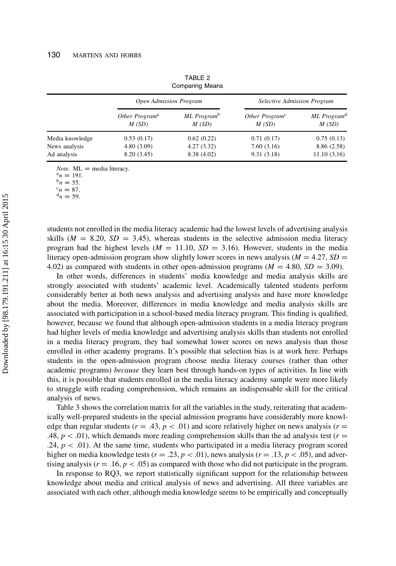|                 | Open Admission Program              |                                  | <b>Selective Admission Program</b>  |                                  |  |
|-----------------|-------------------------------------|----------------------------------|-------------------------------------|----------------------------------|--|
|                 | Other Program <sup>a</sup><br>M(SD) | ML Program <sup>b</sup><br>M(SD) | Other Program <sup>c</sup><br>M(SD) | ML Program <sup>d</sup><br>M(SD) |  |
| Media knowledge | 0.53(0.17)                          | 0.62(0.22)                       | 0.71(0.17)                          | 0.75(0.13)                       |  |
| News analysis   | 4.80(3.09)                          | 4.27(3.32)                       | 7.60(3.16)                          | 8.86 (2.58)                      |  |
| Ad analysis     | 8.20 (3.45)                         | 8.38 (4.02)                      | 9.31(3.18)                          | 11.10(3.16)                      |  |

TABLE 2 Comparing Means

*Note.*  $ML =$  media literacy.

 $a_n = 191$ .

 $^{b}n = 55.$  $c_n = 87.$ 

 $d_n = 59$ .

students not enrolled in the media literacy academic had the lowest levels of advertising analysis skills ( $M = 8.20$ ,  $SD = 3.45$ ), whereas students in the selective admission media literacy program had the highest levels ( $M = 11.10$ ,  $SD = 3.16$ ). However, students in the media literacy open-admission program show slightly lower scores in news analysis ( $M = 4.27$ ,  $SD =$ 4.02) as compared with students in other open-admission programs ( $M = 4.80$ ,  $SD = 3.09$ ).

In other words, differences in students' media knowledge and media analysis skills are strongly associated with students' academic level. Academically talented students perform considerably better at both news analysis and advertising analysis and have more knowledge about the media. Moreover, differences in media knowledge and media analysis skills are associated with participation in a school-based media literacy program. This finding is qualified, however, because we found that although open-admission students in a media literacy program had higher levels of media knowledge and advertising analysis skills than students not enrolled in a media literacy program, they had somewhat lower scores on news analysis than those enrolled in other academy programs. It's possible that selection bias is at work here. Perhaps students in the open-admission program choose media literacy courses (rather than other academic programs) because they learn best through hands-on types of activities. In line with this, it is possible that students enrolled in the media literacy academy sample were more likely to struggle with reading comprehension, which remains an indispensable skill for the critical analysis of news.

Table 3 shows the correlation matrix for all the variables in the study, reiterating that academically well-prepared students in the special admission programs have considerably more knowledge than regular students ( $r = .43$ ,  $p < .01$ ) and score relatively higher on news analysis ( $r =$ .48,  $p < .01$ ), which demands more reading comprehension skills than the ad analysis test ( $r =$  $.24, p < .01$ ). At the same time, students who participated in a media literacy program scored higher on media knowledge tests ( $r = .23$ ,  $p < .01$ ), news analysis ( $r = .13$ ,  $p < .05$ ), and advertising analysis ( $r = .16$ ,  $p < .05$ ) as compared with those who did not participate in the program.

In response to RQ3, we report statistically significant support for the relationship between knowledge about media and critical analysis of news and advertising. All three variables are associated with each other, although media knowledge seems to be empirically and conceptually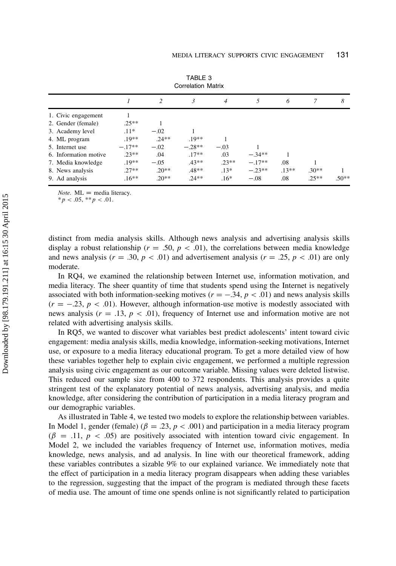| Correlation Matrix    |          |         |          |                |          |         |         |         |
|-----------------------|----------|---------|----------|----------------|----------|---------|---------|---------|
|                       |          |         | 3        | $\overline{4}$ | 5        | 6       |         | 8       |
| 1. Civic engagement   |          |         |          |                |          |         |         |         |
| 2. Gender (female)    | $.25**$  |         |          |                |          |         |         |         |
| 3. Academy level      | $.11*$   | $-.02$  |          |                |          |         |         |         |
| 4. ML program         | $.19**$  | $.24**$ | $.19**$  |                |          |         |         |         |
| 5. Internet use       | $-.17**$ | $-.02$  | $-.28**$ | $-.03$         |          |         |         |         |
| 6. Information motive | $.23**$  | .04     | $.17**$  | .03            | $-.34**$ |         |         |         |
| 7. Media knowledge    | $.19**$  | $-.05$  | $.43**$  | $.23**$        | $-.17**$ | .08     |         |         |
| 8. News analysis      | $.27**$  | $.20**$ | $.48**$  | $.13*$         | $-.23**$ | $.13**$ | $.30**$ |         |
| 9. Ad analysis        | $.16**$  | $.20**$ | $.24**$  | $.16*$         | $-.08$   | .08     | $.25**$ | $.50**$ |

TABLE 3 Correlation Matrix

*Note.*  $ML$  = media literacy.

 $* p < .05, ** p < .01.$ 

distinct from media analysis skills. Although news analysis and advertising analysis skills display a robust relationship ( $r = .50$ ,  $p < .01$ ), the correlations between media knowledge and news analysis ( $r = .30, p < .01$ ) and advertisement analysis ( $r = .25, p < .01$ ) are only moderate.

In RQ4, we examined the relationship between Internet use, information motivation, and media literacy. The sheer quantity of time that students spend using the Internet is negatively associated with both information-seeking motives ( $r = -.34$ ,  $p < .01$ ) and news analysis skills  $(r = -.23, p < .01)$ . However, although information-use motive is modestly associated with news analysis ( $r = .13$ ,  $p < .01$ ), frequency of Internet use and information motive are not related with advertising analysis skills.

In RQ5, we wanted to discover what variables best predict adolescents' intent toward civic engagement: media analysis skills, media knowledge, information-seeking motivations, Internet use, or exposure to a media literacy educational program. To get a more detailed view of how these variables together help to explain civic engagement, we performed a multiple regression analysis using civic engagement as our outcome variable. Missing values were deleted listwise. This reduced our sample size from 400 to 372 respondents. This analysis provides a quite stringent test of the explanatory potential of news analysis, advertising analysis, and media knowledge, after considering the contribution of participation in a media literacy program and our demographic variables.

As illustrated in Table 4, we tested two models to explore the relationship between variables. In Model 1, gender (female) ( $\beta = .23$ ,  $p < .001$ ) and participation in a media literacy program  $(\beta = .11, p < .05)$  are positively associated with intention toward civic engagement. In Model 2, we included the variables frequency of Internet use, information motives, media knowledge, news analysis, and ad analysis. In line with our theoretical framework, adding these variables contributes a sizable 9% to our explained variance. We immediately note that the effect of participation in a media literacy program disappears when adding these variables to the regression, suggesting that the impact of the program is mediated through these facets of media use. The amount of time one spends online is not significantly related to participation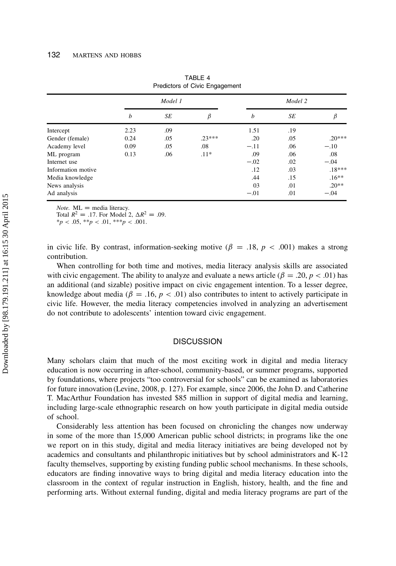|                    | Model 1 |     |          | Model 2 |     |          |
|--------------------|---------|-----|----------|---------|-----|----------|
|                    | b       | SE  | β        | b       | SE  | β        |
| Intercept          | 2.23    | .09 |          | 1.51    | .19 |          |
| Gender (female)    | 0.24    | .05 | $.23***$ | .20     | .05 | $.20***$ |
| Academy level      | 0.09    | .05 | .08      | $-.11$  | .06 | $-.10$   |
| ML program         | 0.13    | .06 | $.11*$   | .09     | .06 | .08      |
| Internet use       |         |     |          | $-.02$  | .02 | $-.04$   |
| Information motive |         |     |          | .12     | .03 | $.18***$ |
| Media knowledge    |         |     |          | .44     | .15 | $.16***$ |
| News analysis      |         |     |          | 03      | .01 | $.20**$  |
| Ad analysis        |         |     |          | $-.01$  | .01 | $-.04$   |

TABLE 4 Predictors of Civic Engagement

*Note.*  $ML =$  media literacy.

Total  $R^2 = .17$ . For Model 2,  $\Delta R^2 = .09$ .

 $**p* < .05, ***p* < .01, ***p* < .001.$ 

in civic life. By contrast, information-seeking motive ( $\beta = .18$ ,  $p < .001$ ) makes a strong contribution.

When controlling for both time and motives, media literacy analysis skills are associated with civic engagement. The ability to analyze and evaluate a news article ( $\beta = .20, p < .01$ ) has an additional (and sizable) positive impact on civic engagement intention. To a lesser degree, knowledge about media ( $\beta = 0.16$ ,  $p < 0.01$ ) also contributes to intent to actively participate in civic life. However, the media literacy competencies involved in analyzing an advertisement do not contribute to adolescents' intention toward civic engagement.

#### **DISCUSSION**

Many scholars claim that much of the most exciting work in digital and media literacy education is now occurring in after-school, community-based, or summer programs, supported by foundations, where projects "too controversial for schools" can be examined as laboratories for future innovation (Levine, 2008, p. 127). For example, since 2006, the John D. and Catherine T. MacArthur Foundation has invested \$85 million in support of digital media and learning, including large-scale ethnographic research on how youth participate in digital media outside of school.

Considerably less attention has been focused on chronicling the changes now underway in some of the more than 15,000 American public school districts; in programs like the one we report on in this study, digital and media literacy initiatives are being developed not by academics and consultants and philanthropic initiatives but by school administrators and K-12 faculty themselves, supporting by existing funding public school mechanisms. In these schools, educators are finding innovative ways to bring digital and media literacy education into the classroom in the context of regular instruction in English, history, health, and the fine and performing arts. Without external funding, digital and media literacy programs are part of the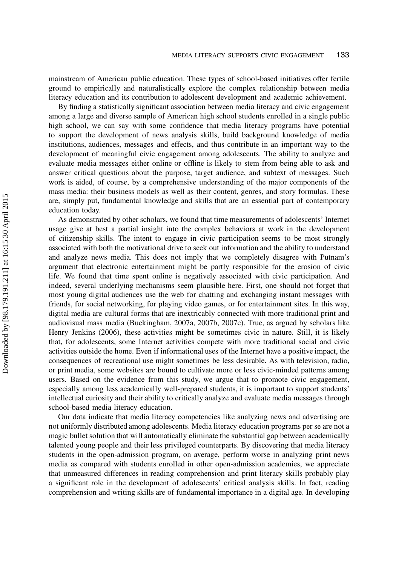mainstream of American public education. These types of school-based initiatives offer fertile ground to empirically and naturalistically explore the complex relationship between media literacy education and its contribution to adolescent development and academic achievement.

By finding a statistically significant association between media literacy and civic engagement among a large and diverse sample of American high school students enrolled in a single public high school, we can say with some confidence that media literacy programs have potential to support the development of news analysis skills, build background knowledge of media institutions, audiences, messages and effects, and thus contribute in an important way to the development of meaningful civic engagement among adolescents. The ability to analyze and evaluate media messages either online or offline is likely to stem from being able to ask and answer critical questions about the purpose, target audience, and subtext of messages. Such work is aided, of course, by a comprehensive understanding of the major components of the mass media: their business models as well as their content, genres, and story formulas. These are, simply put, fundamental knowledge and skills that are an essential part of contemporary education today.

As demonstrated by other scholars, we found that time measurements of adolescents' Internet usage give at best a partial insight into the complex behaviors at work in the development of citizenship skills. The intent to engage in civic participation seems to be most strongly associated with both the motivational drive to seek out information and the ability to understand and analyze news media. This does not imply that we completely disagree with Putnam's argument that electronic entertainment might be partly responsible for the erosion of civic life. We found that time spent online is negatively associated with civic participation. And indeed, several underlying mechanisms seem plausible here. First, one should not forget that most young digital audiences use the web for chatting and exchanging instant messages with friends, for social networking, for playing video games, or for entertainment sites. In this way, digital media are cultural forms that are inextricably connected with more traditional print and audiovisual mass media (Buckingham, 2007a, 2007b, 2007c). True, as argued by scholars like Henry Jenkins (2006), these activities might be sometimes civic in nature. Still, it is likely that, for adolescents, some Internet activities compete with more traditional social and civic activities outside the home. Even if informational uses of the Internet have a positive impact, the consequences of recreational use might sometimes be less desirable. As with television, radio, or print media, some websites are bound to cultivate more or less civic-minded patterns among users. Based on the evidence from this study, we argue that to promote civic engagement, especially among less academically well-prepared students, it is important to support students' intellectual curiosity and their ability to critically analyze and evaluate media messages through school-based media literacy education.

Our data indicate that media literacy competencies like analyzing news and advertising are not uniformly distributed among adolescents. Media literacy education programs per se are not a magic bullet solution that will automatically eliminate the substantial gap between academically talented young people and their less privileged counterparts. By discovering that media literacy students in the open-admission program, on average, perform worse in analyzing print news media as compared with students enrolled in other open-admission academies, we appreciate that unmeasured differences in reading comprehension and print literacy skills probably play a significant role in the development of adolescents' critical analysis skills. In fact, reading comprehension and writing skills are of fundamental importance in a digital age. In developing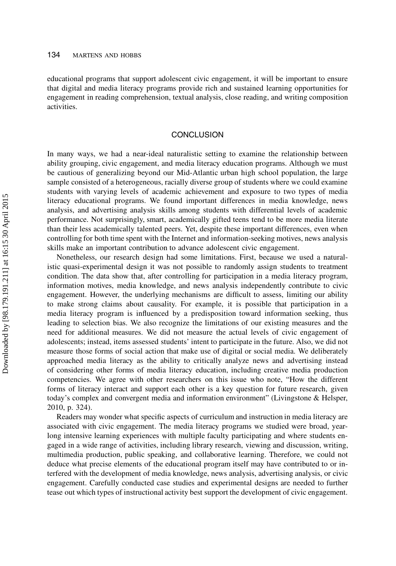educational programs that support adolescent civic engagement, it will be important to ensure that digital and media literacy programs provide rich and sustained learning opportunities for engagement in reading comprehension, textual analysis, close reading, and writing composition activities.

### **CONCLUSION**

In many ways, we had a near-ideal naturalistic setting to examine the relationship between ability grouping, civic engagement, and media literacy education programs. Although we must be cautious of generalizing beyond our Mid-Atlantic urban high school population, the large sample consisted of a heterogeneous, racially diverse group of students where we could examine students with varying levels of academic achievement and exposure to two types of media literacy educational programs. We found important differences in media knowledge, news analysis, and advertising analysis skills among students with differential levels of academic performance. Not surprisingly, smart, academically gifted teens tend to be more media literate than their less academically talented peers. Yet, despite these important differences, even when controlling for both time spent with the Internet and information-seeking motives, news analysis skills make an important contribution to advance adolescent civic engagement.

Nonetheless, our research design had some limitations. First, because we used a naturalistic quasi-experimental design it was not possible to randomly assign students to treatment condition. The data show that, after controlling for participation in a media literacy program, information motives, media knowledge, and news analysis independently contribute to civic engagement. However, the underlying mechanisms are difficult to assess, limiting our ability to make strong claims about causality. For example, it is possible that participation in a media literacy program is influenced by a predisposition toward information seeking, thus leading to selection bias. We also recognize the limitations of our existing measures and the need for additional measures. We did not measure the actual levels of civic engagement of adolescents; instead, items assessed students' intent to participate in the future. Also, we did not measure those forms of social action that make use of digital or social media. We deliberately approached media literacy as the ability to critically analyze news and advertising instead of considering other forms of media literacy education, including creative media production competencies. We agree with other researchers on this issue who note, "How the different forms of literacy interact and support each other is a key question for future research, given today's complex and convergent media and information environment" (Livingstone & Helsper, 2010, p. 324).

Readers may wonder what specific aspects of curriculum and instruction in media literacy are associated with civic engagement. The media literacy programs we studied were broad, yearlong intensive learning experiences with multiple faculty participating and where students engaged in a wide range of activities, including library research, viewing and discussion, writing, multimedia production, public speaking, and collaborative learning. Therefore, we could not deduce what precise elements of the educational program itself may have contributed to or interfered with the development of media knowledge, news analysis, advertising analysis, or civic engagement. Carefully conducted case studies and experimental designs are needed to further tease out which types of instructional activity best support the development of civic engagement.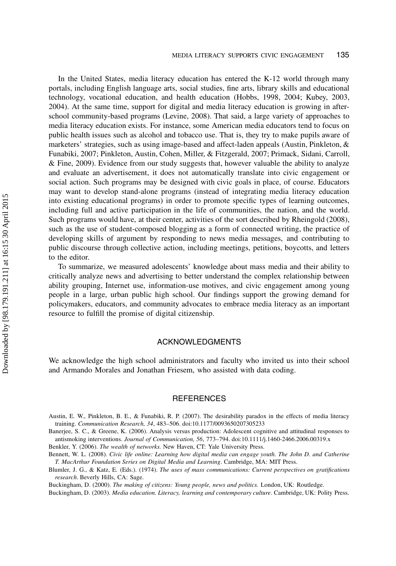In the United States, media literacy education has entered the K-12 world through many portals, including English language arts, social studies, fine arts, library skills and educational technology, vocational education, and health education (Hobbs, 1998, 2004; Kubey, 2003, 2004). At the same time, support for digital and media literacy education is growing in afterschool community-based programs (Levine, 2008). That said, a large variety of approaches to media literacy education exists. For instance, some American media educators tend to focus on public health issues such as alcohol and tobacco use. That is, they try to make pupils aware of marketers' strategies, such as using image-based and affect-laden appeals (Austin, Pinkleton, & Funabiki, 2007; Pinkleton, Austin, Cohen, Miller, & Fitzgerald, 2007; Primack, Sidani, Carroll, & Fine, 2009). Evidence from our study suggests that, however valuable the ability to analyze and evaluate an advertisement, it does not automatically translate into civic engagement or social action. Such programs may be designed with civic goals in place, of course. Educators may want to develop stand-alone programs (instead of integrating media literacy education into existing educational programs) in order to promote specific types of learning outcomes, including full and active participation in the life of communities, the nation, and the world. Such programs would have, at their center, activities of the sort described by Rheingold (2008), such as the use of student-composed blogging as a form of connected writing, the practice of developing skills of argument by responding to news media messages, and contributing to public discourse through collective action, including meetings, petitions, boycotts, and letters to the editor.

To summarize, we measured adolescents' knowledge about mass media and their ability to critically analyze news and advertising to better understand the complex relationship between ability grouping, Internet use, information-use motives, and civic engagement among young people in a large, urban public high school. Our findings support the growing demand for policymakers, educators, and community advocates to embrace media literacy as an important resource to fulfill the promise of digital citizenship.

# ACKNOWLEDGMENTS

We acknowledge the high school administrators and faculty who invited us into their school and Armando Morales and Jonathan Friesem, who assisted with data coding.

# **REFERENCES**

Austin, E. W., Pinkleton, B. E., & Funabiki, R. P. (2007). The desirability paradox in the effects of media literacy training. Communication Research, 34, 483–506. doi:10.1177/0093650207305233

Banerjee, S. C., & Greene, K. (2006). Analysis versus production: Adolescent cognitive and attitudinal responses to antismoking interventions. Journal of Communication, 56, 773–794. doi:10.1111/j.1460-2466.2006.00319.x

Benkler, Y. (2006). The wealth of networks. New Haven, CT: Yale University Press.

Bennett, W. L. (2008). Civic life online: Learning how digital media can engage youth. The John D. and Catherine T. MacArthur Foundation Series on Digital Media and Learning. Cambridge, MA: MIT Press.

Blumler, J. G., & Katz, E. (Eds.). (1974). The uses of mass communications: Current perspectives on gratifications research. Beverly Hills, CA: Sage.

Buckingham, D. (2000). The making of citizens: Young people, news and politics. London, UK: Routledge.

Buckingham, D. (2003). Media education. Literacy, learning and contemporary culture. Cambridge, UK: Polity Press.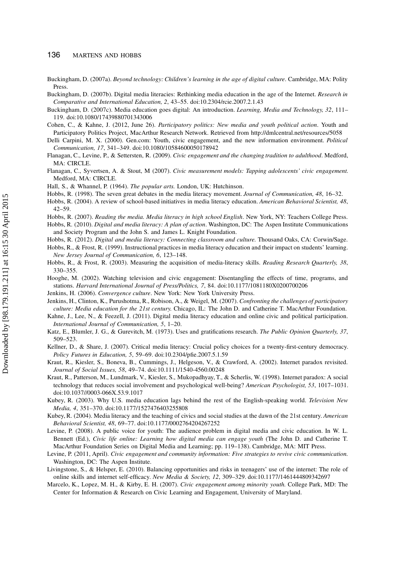#### 136 MARTENS AND HOBBS

- Buckingham, D. (2007a). Beyond technology: Children's learning in the age of digital culture. Cambridge, MA: Polity Press.
- Buckingham, D. (2007b). Digital media literacies: Rethinking media education in the age of the Internet. Research in Comparative and International Education, 2, 43–55. doi:10.2304/rcie.2007.2.1.43
- Buckingham, D. (2007c). Media education goes digital: An introduction. Learning, Media and Technology, 32, 111– 119. doi:10.1080/17439880701343006
- Cohen, C., & Kahne, J. (2012, June 26). Participatory politics: New media and youth political action. Youth and Participatory Politics Project, MacArthur Research Network. Retrieved from http://dmlcentral.net/resources/5058
- Delli Carpini, M. X. (2000). Gen.com: Youth, civic engagement, and the new information environment. Political Communication, 17, 341–349. doi:10.1080/10584600050178942
- Flanagan, C., Levine, P., & Settersten, R. (2009). Civic engagement and the changing tradition to adulthood. Medford, MA: CIRCLE.
- Flanagan, C., Syvertsen, A. & Stout, M (2007). Civic measurement models: Tapping adolescents' civic engagement. Medford, MA: CIRCLE.
- Hall, S., & Whannel, P. (1964). The popular arts. London, UK: Hutchinson.
- Hobbs, R. (1998). The seven great debates in the media literacy movement. Journal of Communication, 48, 16–32.
- Hobbs, R. (2004). A review of school-based initiatives in media literacy education. American Behavioral Scientist, 48, 42–59.
- Hobbs, R. (2007). Reading the media. Media literacy in high school English. New York, NY: Teachers College Press.
- Hobbs, R. (2010). Digital and media literacy: A plan of action. Washington, DC: The Aspen Institute Communications and Society Program and the John S. and James L. Knight Foundation.
- Hobbs, R. (2012). Digital and media literacy: Connecting classroom and culture. Thousand Oaks, CA: Corwin/Sage.
- Hobbs, R., & Frost, R. (1999). Instructional practices in media literacy education and their impact on students' learning. New Jersey Journal of Communication, 6, 123–148.
- Hobbs, R., & Frost, R. (2003). Measuring the acquisition of media-literacy skills. Reading Research Quarterly, 38, 330–355.
- Hooghe, M. (2002). Watching television and civic engagement: Disentangling the effects of time, programs, and stations. Harvard International Journal of Press/Politics, 7, 84. doi:10.1177/1081180X0200700206
- Jenkins, H. (2006). Convergence culture. New York: New York University Press.
- Jenkins, H., Clinton, K., Purushotma, R., Robison, A., & Weigel, M. (2007). Confronting the challenges of participatory culture: Media education for the 21st century. Chicago, IL: The John D. and Catherine T. MacArthur Foundation.
- Kahne, J., Lee, N., & Feezell, J. (2011). Digital media literacy education and online civic and political participation. International Journal of Communication, 5, 1–20.
- Katz, E., Blumler, J. G., & Gurevitch, M. (1973). Uses and gratifications research. The Public Opinion Quarterly, 37, 509–523.
- Kellner, D., & Share, J. (2007). Critical media literacy: Crucial policy choices for a twenty-first-century democracy. Policy Futures in Education, 5, 59–69. doi:10.2304/pfie.2007.5.1.59
- Kraut, R., Kiesler, S., Boneva, B., Cummings, J., Helgeson, V., & Crawford, A. (2002). Internet paradox revisited. Journal of Social Issues, 58, 49–74. doi:10.1111/1540-4560.00248
- Kraut, R., Patterson, M., Lundmark, V., Kiesler, S., Mukopadhyay, T., & Scherlis, W. (1998). Internet paradox: A social technology that reduces social involvement and psychological well-being? American Psychologist, 53, 1017–1031. doi:10.1037//0003-066X.53.9.1017
- Kubey, R. (2003). Why U.S. media education lags behind the rest of the English-speaking world. Television New Media, 4, 351–370. doi:10.1177/1527476403255808
- Kubey, R. (2004). Media literacy and the teaching of civics and social studies at the dawn of the 21st century. American Behavioral Scientist, 48, 69–77. doi:10.1177/0002764204267252
- Levine, P. (2008). A public voice for youth: The audience problem in digital media and civic education. In W. L. Bennett (Ed.), Civic life online: Learning how digital media can engage youth (The John D. and Catherine T. MacArthur Foundation Series on Digital Media and Learning; pp. 119–138). Cambridge, MA: MIT Press.
- Levine, P. (2011, April). Civic engagement and community information: Five strategies to revive civic communication. Washington, DC: The Aspen Institute.
- Livingstone, S., & Helsper, E. (2010). Balancing opportunities and risks in teenagers' use of the internet: The role of online skills and internet self-efficacy. New Media & Society, 12, 309–329. doi:10.1177/1461444809342697
- Marcelo, K., Lopez, M. H., & Kirby, E. H. (2007). Civic engagement among minority youth. College Park, MD: The Center for Information & Research on Civic Learning and Engagement, University of Maryland.